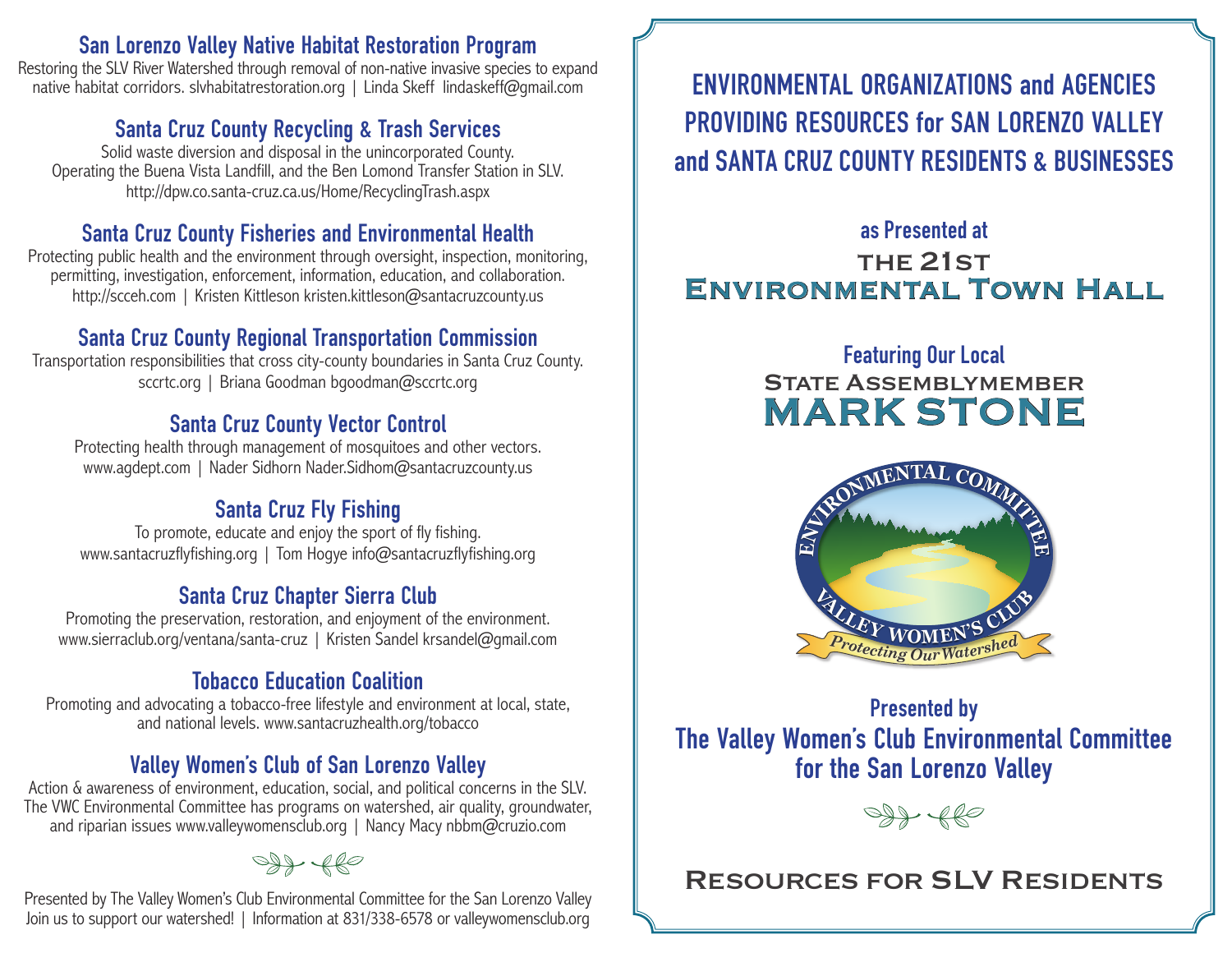#### **San Lorenzo Valley Native Habitat Restoration Program**

Restoring the SLV River Watershed through removal of non-native invasive species to expand native habitat corridors. slvhabitatrestoration.org | Linda Skeff lindaskeff@qmail.com

#### **Santa Cruz County Recycling & Trash Services**

Solid waste diversion and disposal in the unincorporated County. Operating the Buena Vista Landfill, and the Ben Lomond Transfer Station in SLV. http://dpw.co.santa-cruz.ca.us/Home/RecyclingTrash.aspx

#### **Santa Cruz County Fisheries and Environmental Health**

Protecting public health and the environment through oversight, inspection, monitoring, permitting, investigation, enforcement, information, education, and collaboration. http://scceh.com | Kristen Kittleson kristen.kittleson@santacruzcounty.us

#### **Santa Cruz County Regional Transportation Commission**

Transportation responsibilities that cross city-county boundaries in Santa Cruz County. sccrtc.org | Briana Goodman bgoodman@sccrtc.org

#### **Santa Cruz County Vector Control**

Protecting health through management of mosquitoes and other vectors. www.agdept.com | Nader Sidhorn Nader.Sidhom@santacruzcounty.us

## **Santa Cruz Fly Fishing**

To promote, educate and enjoy the sport of fly fishing. www.santacruzflyfishing.org | Tom Hogye info@santacruzflyfishing.org

## **Santa Cruz Chapter Sierra Club**

Promoting the preservation, restoration, and enjoyment of the environment. www.sierraclub.org/ventana/santa-cruz | Kristen Sandel krsandel@gmail.com

#### **Tobacco Education Coalition**

Promoting and advocating a tobacco-free lifestyle and environment at local, state, and national levels. www.santacruzhealth.org/tobacco

#### **Valley Women's Club of San Lorenzo Valley**

Action & awareness of environment, education, social, and political concerns in the SLV. The VWC Environmental Committee has programs on watershed, air quality, groundwater, and riparian issues www.valleywomensclub.org | Nancy Macy nbbm@cruzio.com

 $Q\rightarrow Q$ 

Presented by The Valley Women's Club Environmental Committee for the San Lorenzo Valley Join us to support our watershed! | Information at 831/338-6578 or valleywomensclub.org

**ENVIRONMENTAL ORGANIZATIONS and AGENCIES PROVIDING RESOURCES for SAN LORENZO VALLEY and SANTA CRUZ COUNTY RESIDENTS & BUSINESSES**

### **as Presented at** THE 21ST Environmental Town Hall

# **Featuring Our Local STATE ASSEMBLYMEMBER** MARK STONE



## **Presented by The Valley Women's Club Environmental Committee for the San Lorenzo Valley**



## Resources for SLV Residents